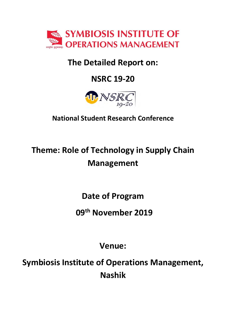

## The Detailed Report on:

# NSRC 19-20



## National Student Research Conference

# Theme: Role of Technology in Supply Chain Management

Date of Program

09th November 2019

Venue:

Symbiosis Institute of Operations Management, Nashik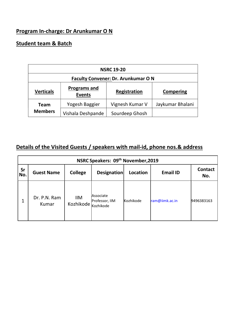## Program In-charge: Dr Arunkumar O N

### Student team & Batch

| <b>NSRC 19-20</b>                                        |                   |                 |                  |
|----------------------------------------------------------|-------------------|-----------------|------------------|
| <b>Faculty Convener: Dr. Arunkumar ON</b>                |                   |                 |                  |
| <b>Programs and</b><br><b>Verticals</b><br><b>Events</b> |                   | Registration    | <b>Compering</b> |
| Team                                                     | Yogesh Baggier    | Vignesh Kumar V | Jaykumar Bhalani |
| <b>Members</b>                                           | Vishala Deshpande | Sourdeep Ghosh  |                  |

## Details of the Visited Guests / speakers with mail-id, phone nos.& address

| NSRC Speakers: 09 <sup>th</sup> November, 2019 |                       |                                   |                             |           |                 |                       |
|------------------------------------------------|-----------------------|-----------------------------------|-----------------------------|-----------|-----------------|-----------------------|
| Sr<br>No.                                      | <b>Guest Name</b>     | <b>College</b>                    | Designation                 | Location  | <b>Email ID</b> | <b>Contact</b><br>No. |
|                                                | Dr. P.N. Ram<br>Kumar | <b>IIM</b><br>Kozhikode Kozhikode | Associate<br>Professor, IIM | Kozhikode | ram@iimk.ac.in  | 9496383163            |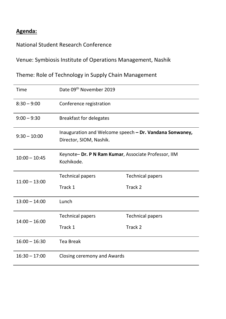## Agenda:

National Student Research Conference

Venue: Symbiosis Institute of Operations Management, Nashik

Theme: Role of Technology in Supply Chain Management

| Time            | Date 09th November 2019                                                            |                         |  |
|-----------------|------------------------------------------------------------------------------------|-------------------------|--|
| $8:30 - 9:00$   | Conference registration                                                            |                         |  |
| $9:00 - 9:30$   | <b>Breakfast for delegates</b>                                                     |                         |  |
| $9:30 - 10:00$  | Inauguration and Welcome speech - Dr. Vandana Sonwaney,<br>Director, SIOM, Nashik. |                         |  |
| $10:00 - 10:45$ | Keynote-Dr. P N Ram Kumar, Associate Professor, IIM<br>Kozhikode.                  |                         |  |
| $11:00 - 13:00$ | <b>Technical papers</b>                                                            | <b>Technical papers</b> |  |
|                 | Track 1                                                                            | Track 2                 |  |
| $13:00 - 14:00$ | Lunch                                                                              |                         |  |
| $14:00 - 16:00$ | <b>Technical papers</b>                                                            | <b>Technical papers</b> |  |
|                 | Track 1                                                                            | Track 2                 |  |
| $16:00 - 16:30$ | <b>Tea Break</b>                                                                   |                         |  |
| $16:30 - 17:00$ | Closing ceremony and Awards                                                        |                         |  |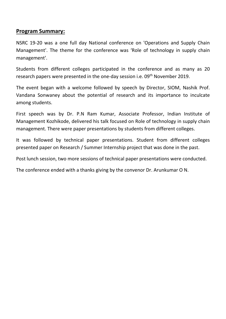#### Program Summary:

NSRC 19-20 was a one full day National conference on 'Operations and Supply Chain Management'. The theme for the conference was 'Role of technology in supply chain management'.

Students from different colleges participated in the conference and as many as 20 research papers were presented in the one-day session i.e. 09<sup>th</sup> November 2019.

The event began with a welcome followed by speech by Director, SIOM, Nashik Prof. Vandana Sonwaney about the potential of research and its importance to inculcate among students.

First speech was by Dr. P.N Ram Kumar, Associate Professor, Indian Institute of Management Kozhikode, delivered his talk focused on Role of technology in supply chain management. There were paper presentations by students from different colleges.

It was followed by technical paper presentations. Student from different colleges presented paper on Research / Summer Internship project that was done in the past.

Post lunch session, two more sessions of technical paper presentations were conducted.

The conference ended with a thanks giving by the convenor Dr. Arunkumar O N.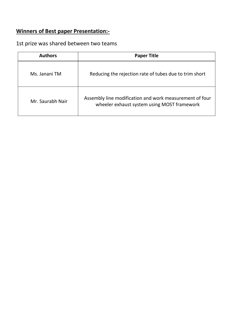## Winners of Best paper Presentation:-

## 1st prize was shared between two teams

| <b>Authors</b>   | <b>Paper Title</b>                                                                                     |  |  |
|------------------|--------------------------------------------------------------------------------------------------------|--|--|
| Ms. Janani TM    | Reducing the rejection rate of tubes due to trim short                                                 |  |  |
| Mr. Saurabh Nair | Assembly line modification and work measurement of four<br>wheeler exhaust system using MOST framework |  |  |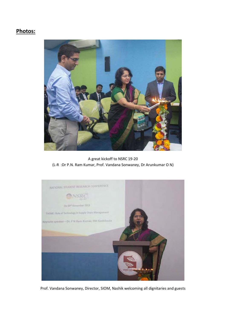#### Photos:



A great kickoff to NSRC 19-20 (L-R :Dr P.N. Ram Kumar, Prof. Vandana Sonwaney, Dr Arunkumar O N)



Prof. Vandana Sonwaney, Director, SIOM, Nashik welcoming all dignitaries and guests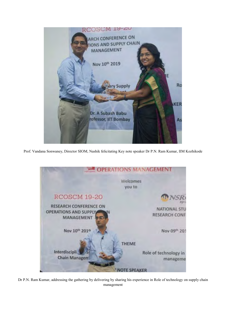

Prof. Vandana Sonwaney, Director SIOM, Nashik felicitating Key note speaker Dr P.N. Ram Kumar, IIM Kozhikode



Dr P.N. Ram Kumar, addressing the gathering by delivering by sharing his experience in Role of technology on supply chain management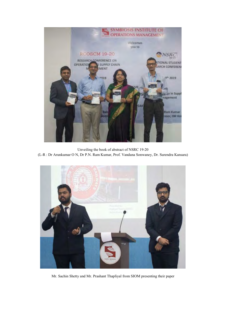

Unveiling the book of abstract of NSRC 19-20

(L-R : Dr Arunkumar O N, Dr P.N. Ram Kumar, Prof. Vandana Sonwaney, Dr. Surendra Kansara)



Mr. Sachin Shetty and Mr. Prashant Thapliyal from SIOM presenting their paper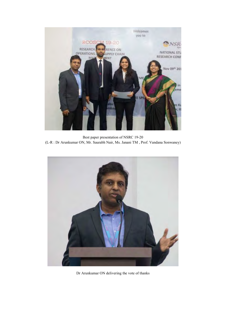

Best paper presentation of NSRC 19-20 (L-R : Dr Arunkumar ON, Mr. Saurabh Nair, Ms. Janani TM , Prof. Vandana Sonwaney)



Dr Arunkumar ON delivering the vote of thanks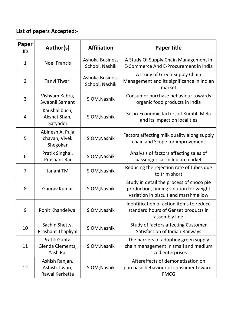## List of papers Accepted:-

| Paper<br>ID    | Author(s)                                          | <b>Affiliation</b>                       | <b>Paper title</b>                                                                                                          |
|----------------|----------------------------------------------------|------------------------------------------|-----------------------------------------------------------------------------------------------------------------------------|
| $\mathbf{1}$   | <b>Noel Francis</b>                                | <b>Ashoka Business</b><br>School, Nashik | A Study Of Supply Chain Management in<br>E-Commerce And E-Procurement in India                                              |
| $\overline{2}$ | Tanvi Tiwari                                       | <b>Ashoka Business</b><br>School, Nashik | A study of Green Supply Chain<br>Management and its significance in Indian<br>market                                        |
| 3              | Vishvam Kabra,<br>Swapnil Samant                   | SIOM, Nashik                             | Consumer purchase behaviour towards<br>organic food products in India                                                       |
| 4              | Kaushal buch,<br>Akshat Shah,<br>Satyadoi          | SIOM, Nashik                             | Socio-Economic factors of Kumbh Mela<br>and its impact on localities                                                        |
| 5              | Abinesh A, Puja<br>chavan, Vivek<br>Shegokar       | SIOM, Nashik                             | Factors affecting milk quality along supply<br>chain and Scope for improvement                                              |
| 6              | Pratik Singhal,<br>Prashant Rai                    | SIOM, Nashik                             | Analysis of factors affecting sales of<br>passenger car in Indian market                                                    |
| 7              | Janani TM                                          | SIOM, Nashik                             | Reducing the rejection rate of tubes due<br>to trim short                                                                   |
| 8              | Gaurav Kumar                                       | SIOM, Nashik                             | Study in detail the process of choco pie<br>production, finding solution for weight<br>variation in biscuit and marshmallow |
| 9              | Rohit Khandelwal                                   | SIOM, Nashik                             | Identification of action items to reduce<br>standard hours of Genset products in<br>assembly line                           |
| 10             | Sachin Shetty,<br><b>Prashant Thapliyal</b>        | SIOM, Nashik                             | <b>Study of factors affecting Customer</b><br>Satisfaction of Indian Railways                                               |
| 11             | Pratik Gupta,<br>Glenda Clements,<br>Yash Raj      | SIOM, Nashik                             | The barriers of adopting green supply<br>chain management in small and medium<br>sized enterprises                          |
| 12             | Ashish Ranjan,<br>Ashish Tiwari,<br>Rawal Kerketta | SIOM, Nashik                             | Aftereffects of demonetisation on<br>purchase behaviour of consumer towards<br><b>FMCG</b>                                  |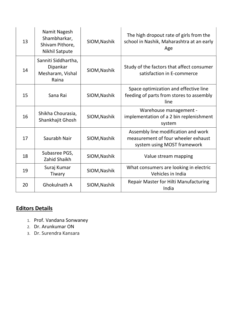| 13 | Namit Nagesh<br>Shambharkar,<br>Shivam Pithore,<br><b>Nikhil Satpute</b> | SIOM, Nashik | The high dropout rate of girls from the<br>school in Nashik, Maharashtra at an early<br>Age               |
|----|--------------------------------------------------------------------------|--------------|-----------------------------------------------------------------------------------------------------------|
| 14 | Sanniti Siddhartha,<br>Dipankar<br>Mesharam, Vishal<br>Raina             | SIOM, Nashik | Study of the factors that affect consumer<br>satisfaction in E-commerce                                   |
| 15 | Sana Rai                                                                 | SIOM, Nashik | Space optimization and effective line<br>feeding of parts from stores to assembly<br>line                 |
| 16 | Shikha Chourasia,<br>Shankhajit Ghosh                                    | SIOM, Nashik | Warehouse management -<br>implementation of a 2 bin replenishment<br>system                               |
| 17 | Saurabh Nair                                                             | SIOM, Nashik | Assembly line modification and work<br>measurement of four wheeler exhaust<br>system using MOST framework |
| 18 | Subasree PGS,<br>Zahid Shaikh                                            | SIOM, Nashik | Value stream mapping                                                                                      |
| 19 | Suraj Kumar<br>Tiwary                                                    | SIOM, Nashik | What consumers are looking in electric<br>Vehicles in India                                               |
| 20 | <b>Ghokulnath A</b>                                                      | SIOM, Nashik | <b>Repair Master for Hilti Manufacturing</b><br>India                                                     |

## Editors Details

- 1. Prof. Vandana Sonwaney
- 2. Dr. Arunkumar ON
- 3. Dr. Surendra Kansara